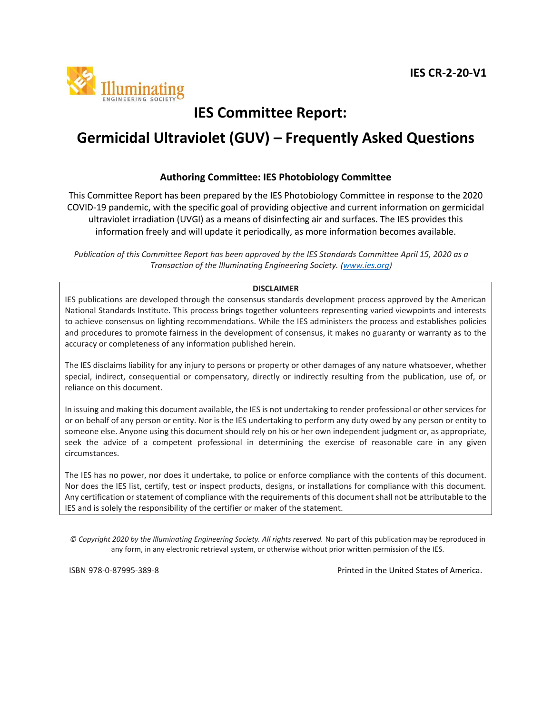

# **IES Committee Report:**

# **Germicidal Ultraviolet (GUV) – Frequently Asked Questions**

### **Authoring Committee: IES Photobiology Committee**

This Committee Report has been prepared by the IES Photobiology Committee in response to the 2020 COVID-19 pandemic, with the specific goal of providing objective and current information on germicidal ultraviolet irradiation (UVGI) as a means of disinfecting air and surfaces. The IES provides this information freely and will update it periodically, as more information becomes available.

*Publication of this Committee Report has been approved by the IES Standards Committee April 15, 2020 as a Transaction of the Illuminating Engineering Society. [\(www.ies.org\)](http://www.ies.org/)* 

#### **DISCLAIMER**

IES publications are developed through the consensus standards development process approved by the American National Standards Institute. This process brings together volunteers representing varied viewpoints and interests to achieve consensus on lighting recommendations. While the IES administers the process and establishes policies and procedures to promote fairness in the development of consensus, it makes no guaranty or warranty as to the accuracy or completeness of any information published herein.

The IES disclaims liability for any injury to persons or property or other damages of any nature whatsoever, whether special, indirect, consequential or compensatory, directly or indirectly resulting from the publication, use of, or reliance on this document.

In issuing and making this document available, the IES is not undertaking to render professional or other services for or on behalf of any person or entity. Nor is the IES undertaking to perform any duty owed by any person or entity to someone else. Anyone using this document should rely on his or her own independent judgment or, as appropriate, seek the advice of a competent professional in determining the exercise of reasonable care in any given circumstances.

The IES has no power, nor does it undertake, to police or enforce compliance with the contents of this document. Nor does the IES list, certify, test or inspect products, designs, or installations for compliance with this document. Any certification or statement of compliance with the requirements of this document shall not be attributable to the IES and is solely the responsibility of the certifier or maker of the statement.

*© Copyright 2020 by the Illuminating Engineering Society. All rights reserved.* No part of this publication may be reproduced in any form, in any electronic retrieval system, or otherwise without prior written permission of the IES.

ISBN 978-0-87995-389-8 Printed in the United States of America.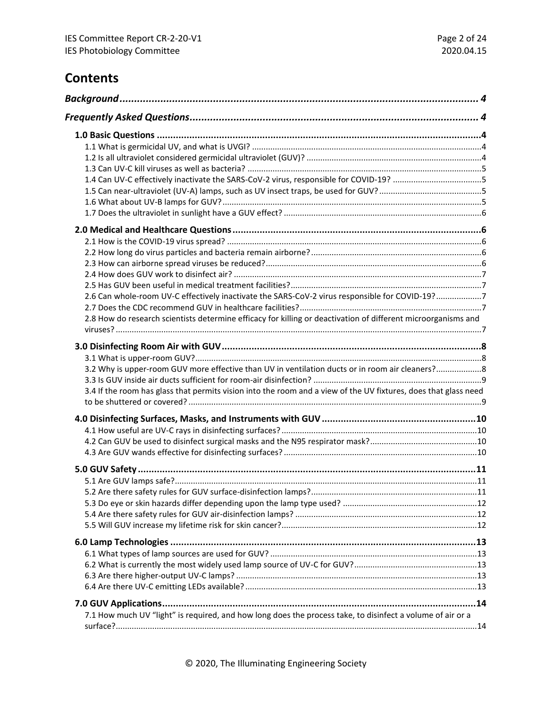# **Contents**

| 1.4 Can UV-C effectively inactivate the SARS-CoV-2 virus, responsible for COVID-19? 5                           |  |
|-----------------------------------------------------------------------------------------------------------------|--|
|                                                                                                                 |  |
|                                                                                                                 |  |
|                                                                                                                 |  |
|                                                                                                                 |  |
|                                                                                                                 |  |
|                                                                                                                 |  |
|                                                                                                                 |  |
|                                                                                                                 |  |
|                                                                                                                 |  |
| 2.6 Can whole-room UV-C effectively inactivate the SARS-CoV-2 virus responsible for COVID-19?7                  |  |
|                                                                                                                 |  |
| 2.8 How do research scientists determine efficacy for killing or deactivation of different microorganisms and   |  |
|                                                                                                                 |  |
|                                                                                                                 |  |
| 3.2 Why is upper-room GUV more effective than UV in ventilation ducts or in room air cleaners?8                 |  |
|                                                                                                                 |  |
| 3.4 If the room has glass that permits vision into the room and a view of the UV fixtures, does that glass need |  |
|                                                                                                                 |  |
|                                                                                                                 |  |
|                                                                                                                 |  |
|                                                                                                                 |  |
|                                                                                                                 |  |
|                                                                                                                 |  |
|                                                                                                                 |  |
|                                                                                                                 |  |
|                                                                                                                 |  |
|                                                                                                                 |  |
|                                                                                                                 |  |
|                                                                                                                 |  |
|                                                                                                                 |  |
|                                                                                                                 |  |
|                                                                                                                 |  |
|                                                                                                                 |  |
| 7.1 How much UV "light" is required, and how long does the process take, to disinfect a volume of air or a      |  |
|                                                                                                                 |  |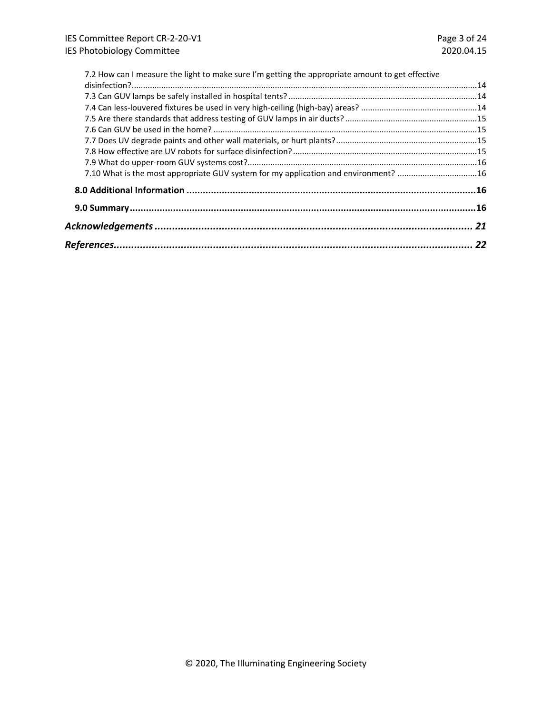| 7.2 How can I measure the light to make sure I'm getting the appropriate amount to get effective |  |
|--------------------------------------------------------------------------------------------------|--|
|                                                                                                  |  |
|                                                                                                  |  |
|                                                                                                  |  |
|                                                                                                  |  |
|                                                                                                  |  |
|                                                                                                  |  |
|                                                                                                  |  |
|                                                                                                  |  |
| 7.10 What is the most appropriate GUV system for my application and environment? 16              |  |
|                                                                                                  |  |
|                                                                                                  |  |
|                                                                                                  |  |
|                                                                                                  |  |
|                                                                                                  |  |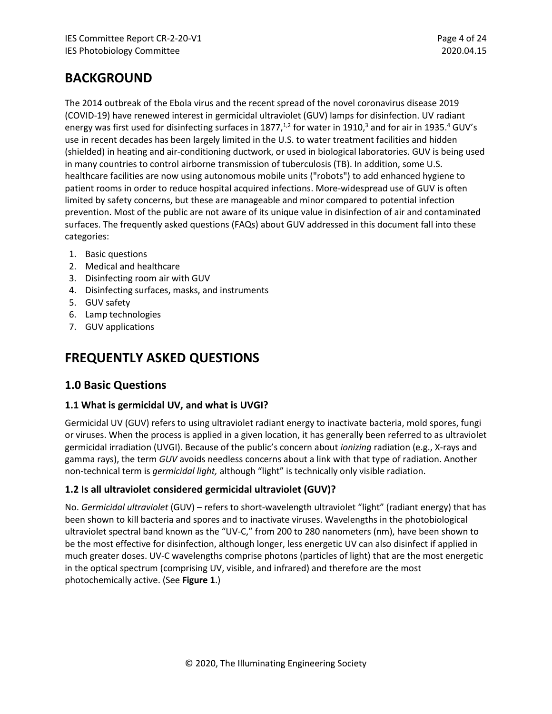# <span id="page-3-0"></span>**BACKGROUND**

The 2014 outbreak of the Ebola virus and the recent spread of the novel coronavirus disease 2019 (COVID-19) have renewed interest in germicidal ultraviolet (GUV) lamps for disinfection. UV radiant energy was first used for disinfecting surfaces in 1877, $^{1,2}$  for water in 1910, $^3$  and for air in 1935. $^4$  GUV's use in recent decades has been largely limited in the U.S. to water treatment facilities and hidden (shielded) in heating and air-conditioning ductwork, or used in biological laboratories. GUV is being used in many countries to control airborne transmission of tuberculosis (TB). In addition, some U.S. healthcare facilities are now using autonomous mobile units ("robots") to add enhanced hygiene to patient rooms in order to reduce hospital acquired infections. More-widespread use of GUV is often limited by safety concerns, but these are manageable and minor compared to potential infection prevention. Most of the public are not aware of its unique value in disinfection of air and contaminated surfaces. The frequently asked questions (FAQs) about GUV addressed in this document fall into these categories:

- 1. Basic questions
- 2. Medical and healthcare
- 3. Disinfecting room air with GUV
- 4. Disinfecting surfaces, masks, and instruments
- 5. GUV safety
- 6. Lamp technologies
- <span id="page-3-1"></span>7. GUV applications

# **FREQUENTLY ASKED QUESTIONS**

# <span id="page-3-2"></span>**1.0 Basic Questions**

### <span id="page-3-3"></span>**1.1 What is germicidal UV, and what is UVGI?**

Germicidal UV (GUV) refers to using ultraviolet radiant energy to inactivate bacteria, mold spores, fungi or viruses. When the process is applied in a given location, it has generally been referred to as ultraviolet germicidal irradiation (UVGI). Because of the public's concern about *ionizing* radiation (e.g., X-rays and gamma rays), the term *GUV* avoids needless concerns about a link with that type of radiation. Another non-technical term is *germicidal light,* although "light" is technically only visible radiation.

### <span id="page-3-4"></span>**1.2 Is all ultraviolet considered germicidal ultraviolet (GUV)?**

No. *Germicidal ultraviolet* (GUV) – refers to short-wavelength ultraviolet "light" (radiant energy) that has been shown to kill bacteria and spores and to inactivate viruses. Wavelengths in the photobiological ultraviolet spectral band known as the "UV-C," from 200 to 280 nanometers (nm), have been shown to be the most effective for disinfection, although longer, less energetic UV can also disinfect if applied in much greater doses. UV-C wavelengths comprise photons (particles of light) that are the most energetic in the optical spectrum (comprising UV, visible, and infrared) and therefore are the most photochemically active. (See **Figure 1**.)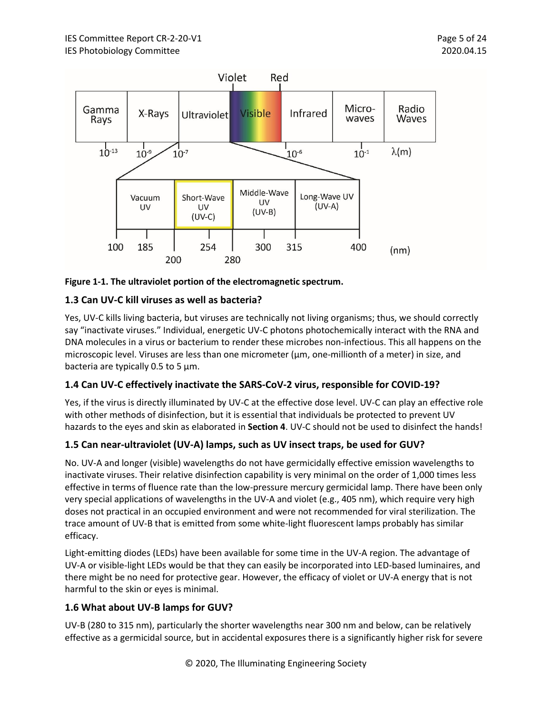

**Figure 1-1. The ultraviolet portion of the electromagnetic spectrum.**

## <span id="page-4-0"></span>**1.3 Can UV-C kill viruses as well as bacteria?**

Yes, UV-C kills living bacteria, but viruses are technically not living organisms; thus, we should correctly say "inactivate viruses." Individual, energetic UV-C photons photochemically interact with the RNA and DNA molecules in a virus or bacterium to render these microbes non-infectious. This all happens on the microscopic level. Viruses are less than one micrometer ( $\mu$ m, one-millionth of a meter) in size, and bacteria are typically 0.5 to 5  $\mu$ m.

# <span id="page-4-1"></span>**1.4 Can UV-C effectively inactivate the SARS-CoV-2 virus, responsible for COVID-19?**

Yes, if the virus is directly illuminated by UV-C at the effective dose level. UV-C can play an effective role with other methods of disinfection, but it is essential that individuals be protected to prevent UV hazards to the eyes and skin as elaborated in **Section 4**. UV-C should not be used to disinfect the hands!

### <span id="page-4-2"></span>**1.5 Can near-ultraviolet (UV-A) lamps, such as UV insect traps, be used for GUV?**

No. UV-A and longer (visible) wavelengths do not have germicidally effective emission wavelengths to inactivate viruses. Their relative disinfection capability is very minimal on the order of 1,000 times less effective in terms of fluence rate than the low-pressure mercury germicidal lamp. There have been only very special applications of wavelengths in the UV-A and violet (e.g., 405 nm), which require very high doses not practical in an occupied environment and were not recommended for viral sterilization. The trace amount of UV-B that is emitted from some white-light fluorescent lamps probably has similar efficacy.

Light-emitting diodes (LEDs) have been available for some time in the UV-A region. The advantage of UV-A or visible-light LEDs would be that they can easily be incorporated into LED-based luminaires, and there might be no need for protective gear. However, the efficacy of violet or UV-A energy that is not harmful to the skin or eyes is minimal.

### <span id="page-4-3"></span>**1.6 What about UV-B lamps for GUV?**

UV-B (280 to 315 nm), particularly the shorter wavelengths near 300 nm and below, can be relatively effective as a germicidal source, but in accidental exposures there is a significantly higher risk for severe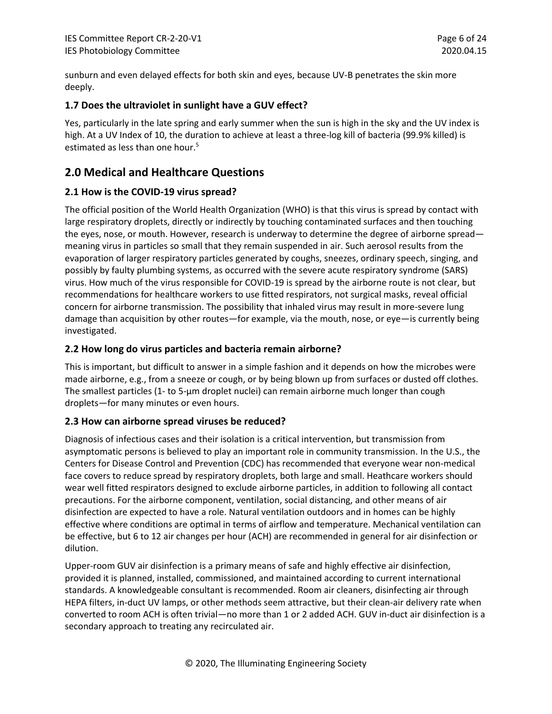sunburn and even delayed effects for both skin and eyes, because UV-B penetrates the skin more deeply.

### <span id="page-5-0"></span>**1.7 Does the ultraviolet in sunlight have a GUV effect?**

Yes, particularly in the late spring and early summer when the sun is high in the sky and the UV index is high. At a UV Index of 10, the duration to achieve at least a three-log kill of bacteria (99.9% killed) is estimated as less than one hour.<sup>5</sup>

# <span id="page-5-1"></span>**2.0 Medical and Healthcare Questions**

### <span id="page-5-2"></span>**2.1 How is the COVID-19 virus spread?**

The official position of the World Health Organization (WHO) is that this virus is spread by contact with large respiratory droplets, directly or indirectly by touching contaminated surfaces and then touching the eyes, nose, or mouth. However, research is underway to determine the degree of airborne spread meaning virus in particles so small that they remain suspended in air. Such aerosol results from the evaporation of larger respiratory particles generated by coughs, sneezes, ordinary speech, singing, and possibly by faulty plumbing systems, as occurred with the severe acute respiratory syndrome (SARS) virus. How much of the virus responsible for COVID-19 is spread by the airborne route is not clear, but recommendations for healthcare workers to use fitted respirators, not surgical masks, reveal official concern for airborne transmission. The possibility that inhaled virus may result in more-severe lung damage than acquisition by other routes—for example, via the mouth, nose, or eye—is currently being investigated.

### <span id="page-5-3"></span>**2.2 How long do virus particles and bacteria remain airborne?**

This is important, but difficult to answer in a simple fashion and it depends on how the microbes were made airborne, e.g., from a sneeze or cough, or by being blown up from surfaces or dusted off clothes. The smallest particles (1- to 5-µm droplet nuclei) can remain airborne much longer than cough droplets—for many minutes or even hours.

### <span id="page-5-4"></span>**2.3 How can airborne spread viruses be reduced?**

Diagnosis of infectious cases and their isolation is a critical intervention, but transmission from asymptomatic persons is believed to play an important role in community transmission. In the U.S., the Centers for Disease Control and Prevention (CDC) has recommended that everyone wear non-medical face covers to reduce spread by respiratory droplets, both large and small. Heathcare workers should wear well fitted respirators designed to exclude airborne particles, in addition to following all contact precautions. For the airborne component, ventilation, social distancing, and other means of air disinfection are expected to have a role. Natural ventilation outdoors and in homes can be highly effective where conditions are optimal in terms of airflow and temperature. Mechanical ventilation can be effective, but 6 to 12 air changes per hour (ACH) are recommended in general for air disinfection or dilution.

Upper-room GUV air disinfection is a primary means of safe and highly effective air disinfection, provided it is planned, installed, commissioned, and maintained according to current international standards. A knowledgeable consultant is recommended. Room air cleaners, disinfecting air through HEPA filters, in-duct UV lamps, or other methods seem attractive, but their clean-air delivery rate when converted to room ACH is often trivial—no more than 1 or 2 added ACH. GUV in-duct air disinfection is a secondary approach to treating any recirculated air.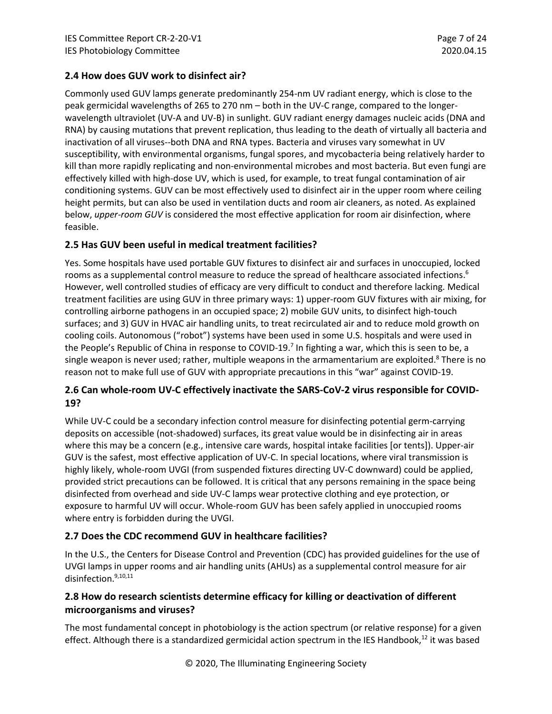### <span id="page-6-0"></span>**2.4 How does GUV work to disinfect air?**

Commonly used GUV lamps generate predominantly 254-nm UV radiant energy, which is close to the peak germicidal wavelengths of 265 to 270 nm – both in the UV-C range, compared to the longerwavelength ultraviolet (UV-A and UV-B) in sunlight. GUV radiant energy damages nucleic acids (DNA and RNA) by causing mutations that prevent replication, thus leading to the death of virtually all bacteria and inactivation of all viruses--both DNA and RNA types. Bacteria and viruses vary somewhat in UV susceptibility, with environmental organisms, fungal spores, and mycobacteria being relatively harder to kill than more rapidly replicating and non-environmental microbes and most bacteria. But even fungi are effectively killed with high-dose UV, which is used, for example, to treat fungal contamination of air conditioning systems. GUV can be most effectively used to disinfect air in the upper room where ceiling height permits, but can also be used in ventilation ducts and room air cleaners, as noted. As explained below, *upper-room GUV* is considered the most effective application for room air disinfection, where feasible.

### <span id="page-6-1"></span>**2.5 Has GUV been useful in medical treatment facilities?**

Yes. Some hospitals have used portable GUV fixtures to disinfect air and surfaces in unoccupied, locked rooms as a supplemental control measure to reduce the spread of healthcare associated infections.<sup>6</sup> However, well controlled studies of efficacy are very difficult to conduct and therefore lacking. Medical treatment facilities are using GUV in three primary ways: 1) upper-room GUV fixtures with air mixing, for controlling airborne pathogens in an occupied space; 2) mobile GUV units, to disinfect high-touch surfaces; and 3) GUV in HVAC air handling units, to treat recirculated air and to reduce mold growth on cooling coils. Autonomous ("robot") systems have been used in some U.S. hospitals and were used in the People's Republic of China in response to COVID-19.<sup>7</sup> In fighting a war, which this is seen to be, a single weapon is never used; rather, multiple weapons in the armamentarium are exploited. $8$  There is no reason not to make full use of GUV with appropriate precautions in this "war" against COVID-19.

## <span id="page-6-2"></span>**2.6 Can whole-room UV-C effectively inactivate the SARS-CoV-2 virus responsible for COVID-19?**

While UV-C could be a secondary infection control measure for disinfecting potential germ-carrying deposits on accessible (not-shadowed) surfaces, its great value would be in disinfecting air in areas where this may be a concern (e.g., intensive care wards, hospital intake facilities [or tents]). Upper-air GUV is the safest, most effective application of UV-C. In special locations, where viral transmission is highly likely, whole-room UVGI (from suspended fixtures directing UV-C downward) could be applied, provided strict precautions can be followed. It is critical that any persons remaining in the space being disinfected from overhead and side UV-C lamps wear protective clothing and eye protection, or exposure to harmful UV will occur. Whole-room GUV has been safely applied in unoccupied rooms where entry is forbidden during the UVGI.

### <span id="page-6-3"></span>**2.7 Does the CDC recommend GUV in healthcare facilities?**

In the U.S., the Centers for Disease Control and Prevention (CDC) has provided guidelines for the use of UVGI lamps in upper rooms and air handling units (AHUs) as a supplemental control measure for air disinfection. 9,10,11

# <span id="page-6-4"></span>**2.8 How do research scientists determine efficacy for killing or deactivation of different microorganisms and viruses?**

The most fundamental concept in photobiology is the action spectrum (or relative response) for a given effect. Although there is a standardized germicidal action spectrum in the IES Handbook,<sup>12</sup> it was based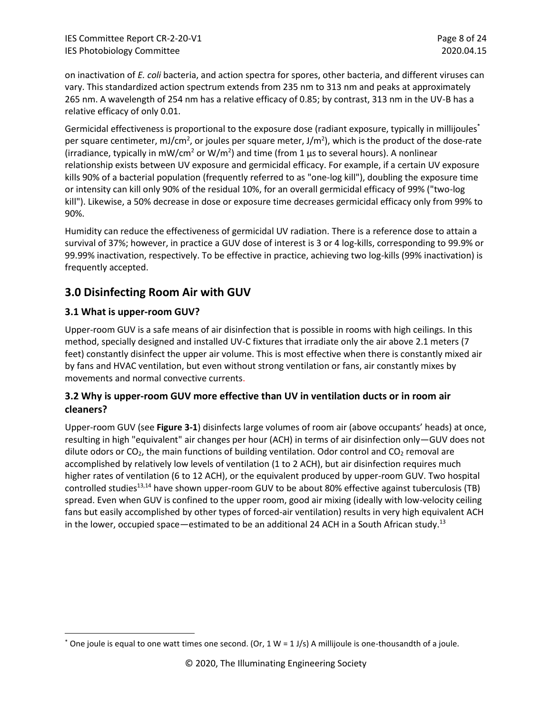on inactivation of *E. coli* bacteria, and action spectra for spores, other bacteria, and different viruses can vary. This standardized action spectrum extends from 235 nm to 313 nm and peaks at approximately 265 nm. A wavelength of 254 nm has a relative efficacy of 0.85; by contrast, 313 nm in the UV-B has a relative efficacy of only 0.01.

Germicidal effectiveness is proportional to the exposure dose (radiant exposure, typically in millijoules\* per square centimeter, mJ/cm<sup>2</sup>, or joules per square meter, J/m<sup>2</sup>), which is the product of the dose-rate (irradiance, typically in mW/cm<sup>2</sup> or W/m<sup>2</sup>) and time (from 1  $\mu$ s to several hours). A nonlinear relationship exists between UV exposure and germicidal efficacy. For example, if a certain UV exposure kills 90% of a bacterial population (frequently referred to as "one-log kill"), doubling the exposure time or intensity can kill only 90% of the residual 10%, for an overall germicidal efficacy of 99% ("two-log kill"). Likewise, a 50% decrease in dose or exposure time decreases germicidal efficacy only from 99% to 90%.

Humidity can reduce the effectiveness of germicidal UV radiation. There is a reference dose to attain a survival of 37%; however, in practice a GUV dose of interest is 3 or 4 log-kills, corresponding to 99.9% or 99.99% inactivation, respectively. To be effective in practice, achieving two log-kills (99% inactivation) is frequently accepted.

# <span id="page-7-0"></span>**3.0 Disinfecting Room Air with GUV**

## <span id="page-7-1"></span>**3.1 What is upper-room GUV?**

Upper-room GUV is a safe means of air disinfection that is possible in rooms with high ceilings. In this method, specially designed and installed UV-C fixtures that irradiate only the air above 2.1 meters (7 feet) constantly disinfect the upper air volume. This is most effective when there is constantly mixed air by fans and HVAC ventilation, but even without strong ventilation or fans, air constantly mixes by movements and normal convective currents.

# <span id="page-7-2"></span>**3.2 Why is upper-room GUV more effective than UV in ventilation ducts or in room air cleaners?**

Upper-room GUV (see **Figure 3-1**) disinfects large volumes of room air (above occupants' heads) at once, resulting in high "equivalent" air changes per hour (ACH) in terms of air disinfection only—GUV does not dilute odors or  $CO<sub>2</sub>$ , the main functions of building ventilation. Odor control and  $CO<sub>2</sub>$  removal are accomplished by relatively low levels of ventilation (1 to 2 ACH), but air disinfection requires much higher rates of ventilation (6 to 12 ACH), or the equivalent produced by upper-room GUV. Two hospital controlled studies<sup>13,14</sup> have shown upper-room GUV to be about 80% effective against tuberculosis (TB) spread. Even when GUV is confined to the upper room, good air mixing (ideally with low-velocity ceiling fans but easily accomplished by other types of forced-air ventilation) results in very high equivalent ACH in the lower, occupied space—estimated to be an additional 24 ACH in a South African study.<sup>13</sup>

<sup>\*</sup> One joule is equal to one watt times one second. (Or, 1 W = 1 J/s) A millijoule is one-thousandth of a joule.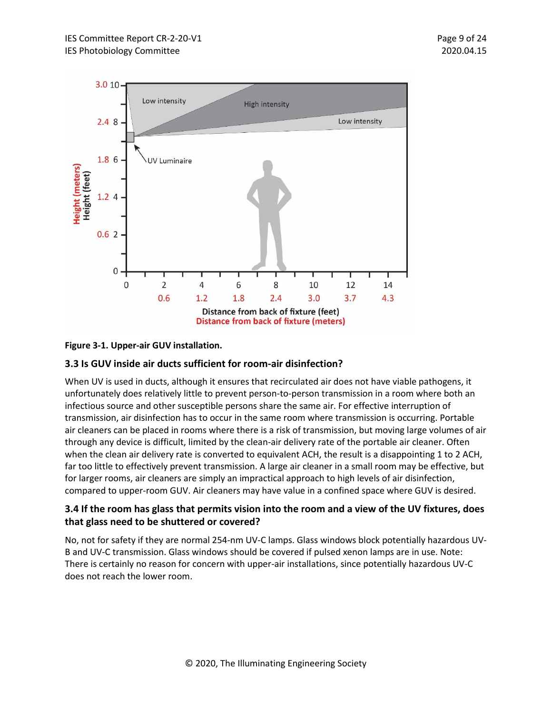

### **Figure 3-1. Upper-air GUV installation.**

### <span id="page-8-0"></span>**3.3 Is GUV inside air ducts sufficient for room-air disinfection?**

When UV is used in ducts, although it ensures that recirculated air does not have viable pathogens, it unfortunately does relatively little to prevent person-to-person transmission in a room where both an infectious source and other susceptible persons share the same air. For effective interruption of transmission, air disinfection has to occur in the same room where transmission is occurring. Portable air cleaners can be placed in rooms where there is a risk of transmission, but moving large volumes of air through any device is difficult, limited by the clean-air delivery rate of the portable air cleaner. Often when the clean air delivery rate is converted to equivalent ACH, the result is a disappointing 1 to 2 ACH, far too little to effectively prevent transmission. A large air cleaner in a small room may be effective, but for larger rooms, air cleaners are simply an impractical approach to high levels of air disinfection, compared to upper-room GUV. Air cleaners may have value in a confined space where GUV is desired.

### <span id="page-8-1"></span>**3.4 If the room has glass that permits vision into the room and a view of the UV fixtures, does that glass need to be shuttered or covered?**

No, not for safety if they are normal 254-nm UV-C lamps. Glass windows block potentially hazardous UV-B and UV-C transmission. Glass windows should be covered if pulsed xenon lamps are in use. Note: There is certainly no reason for concern with upper-air installations, since potentially hazardous UV-C does not reach the lower room.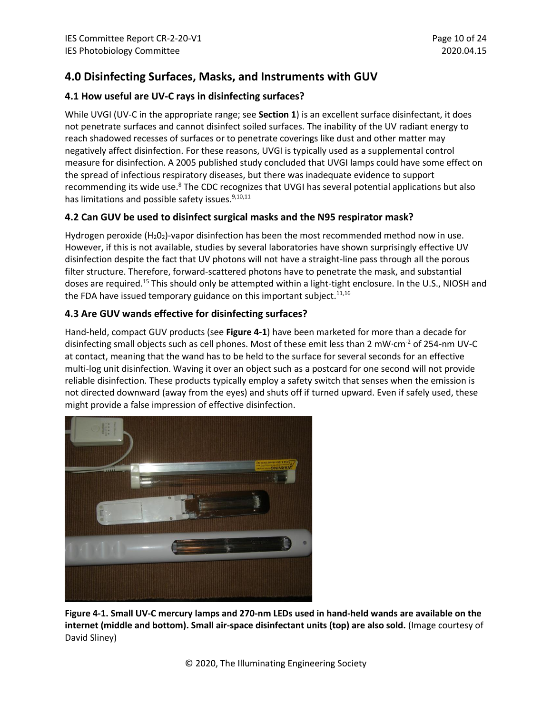# <span id="page-9-0"></span>**4.0 Disinfecting Surfaces, Masks, and Instruments with GUV**

### <span id="page-9-1"></span>**4.1 How useful are UV-C rays in disinfecting surfaces?**

While UVGI (UV-C in the appropriate range; see **Section 1**) is an excellent surface disinfectant, it does not penetrate surfaces and cannot disinfect soiled surfaces. The inability of the UV radiant energy to reach shadowed recesses of surfaces or to penetrate coverings like dust and other matter may negatively affect disinfection. For these reasons, UVGI is typically used as a supplemental control measure for disinfection. A 2005 published study concluded that UVGI lamps could have some effect on the spread of infectious respiratory diseases, but there was inadequate evidence to support recommending its wide use.<sup>8</sup> The CDC recognizes that UVGI has several potential applications but also has limitations and possible safety issues.<sup>9,10,11</sup>

## <span id="page-9-2"></span>**4.2 Can GUV be used to disinfect surgical masks and the N95 respirator mask?**

Hydrogen peroxide  $(H_2O_2)$ -vapor disinfection has been the most recommended method now in use. However, if this is not available, studies by several laboratories have shown surprisingly effective UV disinfection despite the fact that UV photons will not have a straight-line pass through all the porous filter structure. Therefore, forward-scattered photons have to penetrate the mask, and substantial doses are required.<sup>15</sup> This should only be attempted within a light-tight enclosure. In the U.S., NIOSH and the FDA have issued temporary guidance on this important subject. $^{11,16}$ 

# <span id="page-9-3"></span>**4.3 Are GUV wands effective for disinfecting surfaces?**

Hand-held, compact GUV products (see **Figure 4-1**) have been marketed for more than a decade for disinfecting small objects such as cell phones. Most of these emit less than 2 mW·cm-2 of 254-nm UV-C at contact, meaning that the wand has to be held to the surface for several seconds for an effective multi-log unit disinfection. Waving it over an object such as a postcard for one second will not provide reliable disinfection. These products typically employ a safety switch that senses when the emission is not directed downward (away from the eyes) and shuts off if turned upward. Even if safely used, these might provide a false impression of effective disinfection.



**Figure 4-1. Small UV-C mercury lamps and 270-nm LEDs used in hand-held wands are available on the internet (middle and bottom). Small air-space disinfectant units (top) are also sold.** (Image courtesy of David Sliney)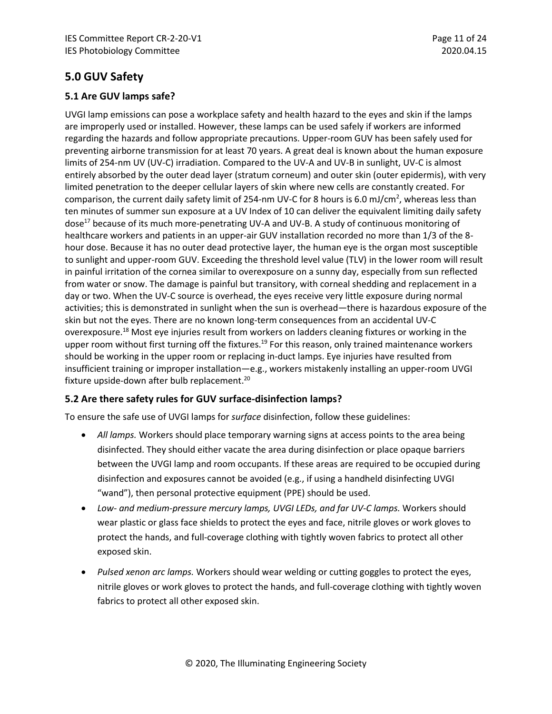# <span id="page-10-0"></span>**5.0 GUV Safety**

### <span id="page-10-1"></span>**5.1 Are GUV lamps safe?**

UVGI lamp emissions can pose a workplace safety and health hazard to the eyes and skin if the lamps are improperly used or installed. However, these lamps can be used safely if workers are informed regarding the hazards and follow appropriate precautions. Upper-room GUV has been safely used for preventing airborne transmission for at least 70 years. A great deal is known about the human exposure limits of 254-nm UV (UV-C) irradiation. Compared to the UV-A and UV-B in sunlight, UV-C is almost entirely absorbed by the outer dead layer (stratum corneum) and outer skin (outer epidermis), with very limited penetration to the deeper cellular layers of skin where new cells are constantly created. For comparison, the current daily safety limit of 254-nm UV-C for 8 hours is 6.0 mJ/cm<sup>2</sup>, whereas less than ten minutes of summer sun exposure at a UV Index of 10 can deliver the equivalent limiting daily safety dose<sup>17</sup> because of its much more-penetrating UV-A and UV-B. A study of continuous monitoring of healthcare workers and patients in an upper-air GUV installation recorded no more than 1/3 of the 8 hour dose. Because it has no outer dead protective layer, the human eye is the organ most susceptible to sunlight and upper-room GUV. Exceeding the threshold level value (TLV) in the lower room will result in painful irritation of the cornea similar to overexposure on a sunny day, especially from sun reflected from water or snow. The damage is painful but transitory, with corneal shedding and replacement in a day or two. When the UV-C source is overhead, the eyes receive very little exposure during normal activities; this is demonstrated in sunlight when the sun is overhead—there is hazardous exposure of the skin but not the eyes. There are no known long-term consequences from an accidental UV-C overexposure.<sup>18</sup> Most eye injuries result from workers on ladders cleaning fixtures or working in the upper room without first turning off the fixtures.<sup>19</sup> For this reason, only trained maintenance workers should be working in the upper room or replacing in-duct lamps. Eye injuries have resulted from insufficient training or improper installation—e.g., workers mistakenly installing an upper-room UVGI fixture upside-down after bulb replacement. 20

### <span id="page-10-2"></span>**5.2 Are there safety rules for GUV surface-disinfection lamps?**

To ensure the safe use of UVGI lamps for *surface* disinfection, follow these guidelines:

- *All lamps.* Workers should place temporary warning signs at access points to the area being disinfected. They should either vacate the area during disinfection or place opaque barriers between the UVGI lamp and room occupants. If these areas are required to be occupied during disinfection and exposures cannot be avoided (e.g., if using a handheld disinfecting UVGI "wand"), then personal protective equipment (PPE) should be used.
- *Low- and medium-pressure mercury lamps, UVGI LEDs, and far UV-C lamps.* Workers should wear plastic or glass face shields to protect the eyes and face, nitrile gloves or work gloves to protect the hands, and full-coverage clothing with tightly woven fabrics to protect all other exposed skin.
- *Pulsed xenon arc lamps.* Workers should wear welding or cutting goggles to protect the eyes, nitrile gloves or work gloves to protect the hands, and full-coverage clothing with tightly woven fabrics to protect all other exposed skin.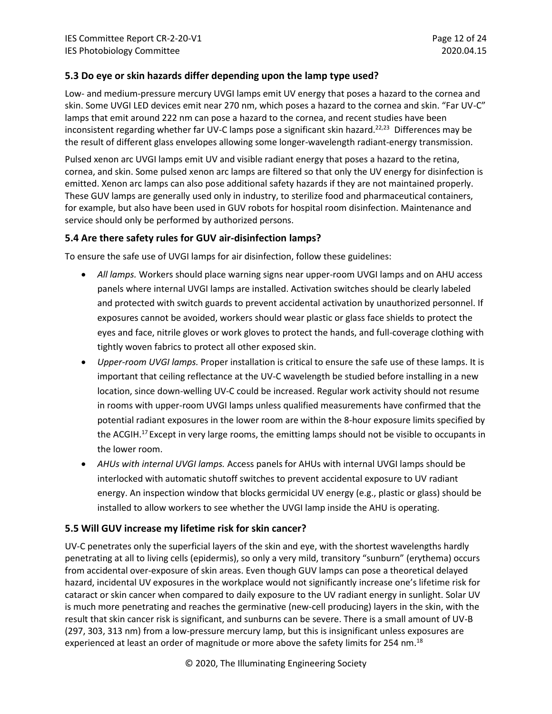### <span id="page-11-0"></span>**5.3 Do eye or skin hazards differ depending upon the lamp type used?**

Low- and medium-pressure mercury UVGI lamps emit UV energy that poses a hazard to the cornea and skin. Some UVGI LED devices emit near 270 nm, which poses a hazard to the cornea and skin. "Far UV-C" lamps that emit around 222 nm can pose a hazard to the cornea, and recent studies have been inconsistent regarding whether far UV-C lamps pose a significant skin hazard.<sup>22,23</sup> Differences may be the result of different glass envelopes allowing some longer-wavelength radiant-energy transmission.

Pulsed xenon arc UVGI lamps emit UV and visible radiant energy that poses a hazard to the retina, cornea, and skin. Some pulsed xenon arc lamps are filtered so that only the UV energy for disinfection is emitted. Xenon arc lamps can also pose additional safety hazards if they are not maintained properly. These GUV lamps are generally used only in industry, to sterilize food and pharmaceutical containers, for example, but also have been used in GUV robots for hospital room disinfection. Maintenance and service should only be performed by authorized persons.

### <span id="page-11-1"></span>**5.4 Are there safety rules for GUV air-disinfection lamps?**

To ensure the safe use of UVGI lamps for air disinfection, follow these guidelines:

- *All lamps.* Workers should place warning signs near upper-room UVGI lamps and on AHU access panels where internal UVGI lamps are installed. Activation switches should be clearly labeled and protected with switch guards to prevent accidental activation by unauthorized personnel. If exposures cannot be avoided, workers should wear plastic or glass face shields to protect the eyes and face, nitrile gloves or work gloves to protect the hands, and full-coverage clothing with tightly woven fabrics to protect all other exposed skin.
- *Upper-room UVGI lamps.* Proper installation is critical to ensure the safe use of these lamps. It is important that ceiling reflectance at the UV-C wavelength be studied before installing in a new location, since down-welling UV-C could be increased. Regular work activity should not resume in rooms with upper-room UVGI lamps unless qualified measurements have confirmed that the potential radiant exposures in the lower room are within the 8-hour exposure limits specified by the ACGIH.<sup>17</sup> Except in very large rooms, the emitting lamps should not be visible to occupants in the lower room.
- *AHUs with internal UVGI lamps.* Access panels for AHUs with internal UVGI lamps should be interlocked with automatic shutoff switches to prevent accidental exposure to UV radiant energy. An inspection window that blocks germicidal UV energy (e.g., plastic or glass) should be installed to allow workers to see whether the UVGI lamp inside the AHU is operating.

### <span id="page-11-2"></span>**5.5 Will GUV increase my lifetime risk for skin cancer?**

UV-C penetrates only the superficial layers of the skin and eye, with the shortest wavelengths hardly penetrating at all to living cells (epidermis), so only a very mild, transitory "sunburn" (erythema) occurs from accidental over-exposure of skin areas. Even though GUV lamps can pose a theoretical delayed hazard, incidental UV exposures in the workplace would not significantly increase one's lifetime risk for cataract or skin cancer when compared to daily exposure to the UV radiant energy in sunlight. Solar UV is much more penetrating and reaches the germinative (new-cell producing) layers in the skin, with the result that skin cancer risk is significant, and sunburns can be severe. There is a small amount of UV-B (297, 303, 313 nm) from a low-pressure mercury lamp, but this is insignificant unless exposures are experienced at least an order of magnitude or more above the safety limits for 254 nm.<sup>18</sup>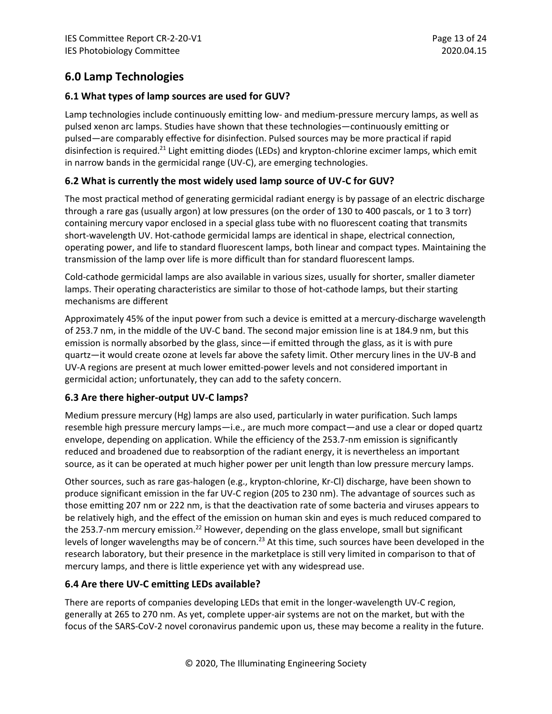# <span id="page-12-0"></span>**6.0 Lamp Technologies**

## <span id="page-12-1"></span>**6.1 What types of lamp sources are used for GUV?**

Lamp technologies include continuously emitting low- and medium-pressure mercury lamps, as well as pulsed xenon arc lamps. Studies have shown that these technologies—continuously emitting or pulsed—are comparably effective for disinfection. Pulsed sources may be more practical if rapid disinfection is required.<sup>21</sup> Light emitting diodes (LEDs) and krypton-chlorine excimer lamps, which emit in narrow bands in the germicidal range (UV-C), are emerging technologies.

# <span id="page-12-2"></span>**6.2 What is currently the most widely used lamp source of UV-C for GUV?**

The most practical method of generating germicidal radiant energy is by passage of an electric discharge through a rare gas (usually argon) at low pressures (on the order of 130 to 400 pascals, or 1 to 3 torr) containing mercury vapor enclosed in a special glass tube with no fluorescent coating that transmits short-wavelength UV. Hot-cathode germicidal lamps are identical in shape, electrical connection, operating power, and life to standard fluorescent lamps, both linear and compact types. Maintaining the transmission of the lamp over life is more difficult than for standard fluorescent lamps.

Cold-cathode germicidal lamps are also available in various sizes, usually for shorter, smaller diameter lamps. Their operating characteristics are similar to those of hot-cathode lamps, but their starting mechanisms are different

Approximately 45% of the input power from such a device is emitted at a mercury-discharge wavelength of 253.7 nm, in the middle of the UV-C band. The second major emission line is at 184.9 nm, but this emission is normally absorbed by the glass, since—if emitted through the glass, as it is with pure quartz—it would create ozone at levels far above the safety limit. Other mercury lines in the UV-B and UV-A regions are present at much lower emitted-power levels and not considered important in germicidal action; unfortunately, they can add to the safety concern.

### <span id="page-12-3"></span>**6.3 Are there higher-output UV-C lamps?**

Medium pressure mercury (Hg) lamps are also used, particularly in water purification. Such lamps resemble high pressure mercury lamps—i.e., are much more compact—and use a clear or doped quartz envelope, depending on application. While the efficiency of the 253.7-nm emission is significantly reduced and broadened due to reabsorption of the radiant energy, it is nevertheless an important source, as it can be operated at much higher power per unit length than low pressure mercury lamps.

Other sources, such as rare gas-halogen (e.g., krypton-chlorine, Kr-Cl) discharge, have been shown to produce significant emission in the far UV-C region (205 to 230 nm). The advantage of sources such as those emitting 207 nm or 222 nm, is that the deactivation rate of some bacteria and viruses appears to be relatively high, and the effect of the emission on human skin and eyes is much reduced compared to the 253.7-nm mercury emission.<sup>22</sup> However, depending on the glass envelope, small but significant levels of longer wavelengths may be of concern.<sup>23</sup> At this time, such sources have been developed in the research laboratory, but their presence in the marketplace is still very limited in comparison to that of mercury lamps, and there is little experience yet with any widespread use.

# <span id="page-12-4"></span>**6.4 Are there UV-C emitting LEDs available?**

There are reports of companies developing LEDs that emit in the longer-wavelength UV-C region, generally at 265 to 270 nm. As yet, complete upper-air systems are not on the market, but with the focus of the SARS-CoV-2 novel coronavirus pandemic upon us, these may become a reality in the future.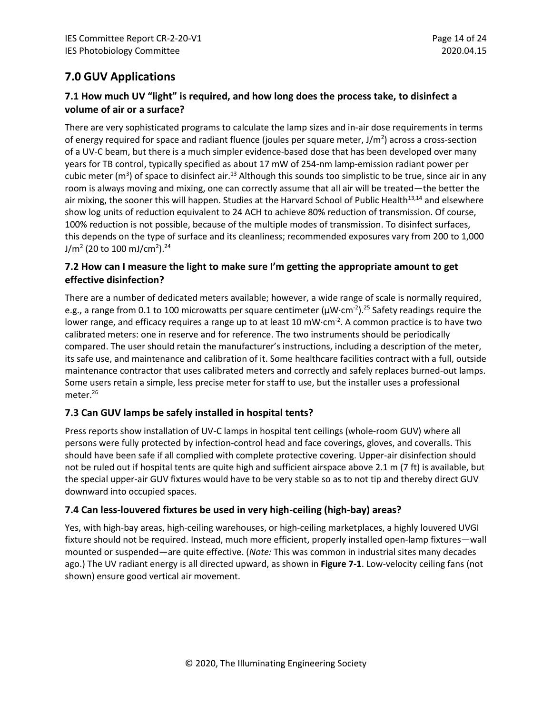# <span id="page-13-0"></span>**7.0 GUV Applications**

# <span id="page-13-1"></span>**7.1 How much UV "light" is required, and how long does the process take, to disinfect a volume of air or a surface?**

There are very sophisticated programs to calculate the lamp sizes and in-air dose requirements in terms of energy required for space and radiant fluence (joules per square meter, J/m<sup>2</sup>) across a cross-section of a UV-C beam, but there is a much simpler evidence-based dose that has been developed over many years for TB control, typically specified as about 17 mW of 254-nm lamp-emission radiant power per cubic meter (m<sup>3</sup>) of space to disinfect air.<sup>13</sup> Although this sounds too simplistic to be true, since air in any room is always moving and mixing, one can correctly assume that all air will be treated—the better the air mixing, the sooner this will happen. Studies at the Harvard School of Public Health<sup>13,14</sup> and elsewhere show log units of reduction equivalent to 24 ACH to achieve 80% reduction of transmission. Of course, 100% reduction is not possible, because of the multiple modes of transmission. To disinfect surfaces, this depends on the type of surface and its cleanliness; recommended exposures vary from 200 to 1,000 J/m<sup>2</sup> (20 to 100 mJ/cm<sup>2</sup>).<sup>24</sup>

# <span id="page-13-2"></span>**7.2 How can I measure the light to make sure I'm getting the appropriate amount to get effective disinfection?**

There are a number of dedicated meters available; however, a wide range of scale is normally required, e.g., a range from 0.1 to 100 microwatts per square centimeter ( $\mu$ W·cm<sup>-2</sup>).<sup>25</sup> Safety readings require the lower range, and efficacy requires a range up to at least 10 mW $\cdot$ cm $^{-2}$ . A common practice is to have two calibrated meters: one in reserve and for reference. The two instruments should be periodically compared. The user should retain the manufacturer's instructions, including a description of the meter, its safe use, and maintenance and calibration of it. Some healthcare facilities contract with a full, outside maintenance contractor that uses calibrated meters and correctly and safely replaces burned-out lamps. Some users retain a simple, less precise meter for staff to use, but the installer uses a professional meter. 26

# <span id="page-13-3"></span>**7.3 Can GUV lamps be safely installed in hospital tents?**

Press reports show installation of UV-C lamps in hospital tent ceilings (whole-room GUV) where all persons were fully protected by infection-control head and face coverings, gloves, and coveralls. This should have been safe if all complied with complete protective covering. Upper-air disinfection should not be ruled out if hospital tents are quite high and sufficient airspace above 2.1 m (7 ft) is available, but the special upper-air GUV fixtures would have to be very stable so as to not tip and thereby direct GUV downward into occupied spaces.

### <span id="page-13-4"></span>**7.4 Can less-louvered fixtures be used in very high-ceiling (high-bay) areas?**

Yes, with high-bay areas, high-ceiling warehouses, or high-ceiling marketplaces, a highly louvered UVGI fixture should not be required. Instead, much more efficient, properly installed open-lamp fixtures—wall mounted or suspended—are quite effective. (*Note:* This was common in industrial sites many decades ago.) The UV radiant energy is all directed upward, as shown in **Figure 7-1**. Low-velocity ceiling fans (not shown) ensure good vertical air movement.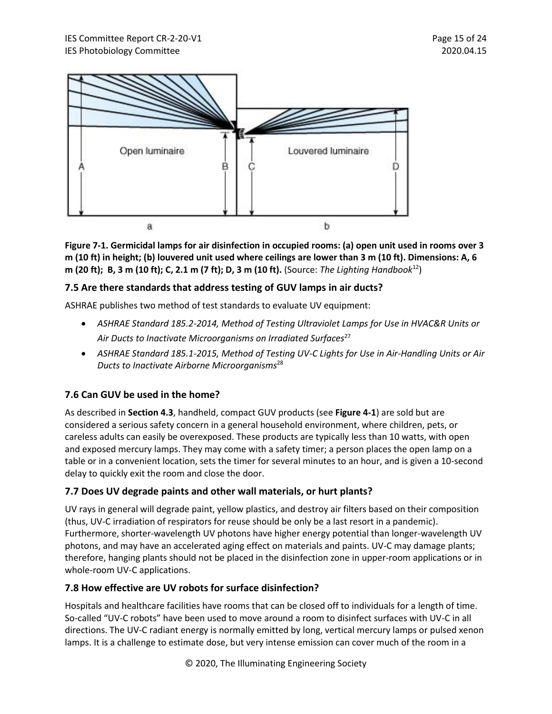

**Figure 7-1. Germicidal lamps for air disinfection in occupied rooms: (a) open unit used in rooms over 3 m (10 ft) in height; (b) louvered unit used where ceilings are lower than 3 m (10 ft). Dimensions: A, 6 m (20 ft); B, 3 m (10 ft); C, 2.1 m (7 ft); D, 3 m (10 ft).** (Source: *The Lighting Handbook*<sup>12</sup>)

## <span id="page-14-0"></span>**7.5 Are there standards that address testing of GUV lamps in air ducts?**

ASHRAE publishes two method of test standards to evaluate UV equipment:

- *ASHRAE Standard 185.2-2014, Method of Testing Ultraviolet Lamps for Use in HVAC&R Units or Air Ducts to Inactivate Microorganisms on Irradiated Surfaces*<sup>27</sup>
- *ASHRAE Standard 185.1-2015, Method of Testing UV-C Lights for Use in Air-Handling Units or Air Ducts to Inactivate Airborne Microorganisms*<sup>28</sup>

# <span id="page-14-1"></span>**7.6 Can GUV be used in the home?**

As described in **Section 4.3**, handheld, compact GUV products (see **Figure 4-1**) are sold but are considered a serious safety concern in a general household environment, where children, pets, or careless adults can easily be overexposed. These products are typically less than 10 watts, with open and exposed mercury lamps. They may come with a safety timer; a person places the open lamp on a table or in a convenient location, sets the timer for several minutes to an hour, and is given a 10-second delay to quickly exit the room and close the door.

### <span id="page-14-2"></span>**7.7 Does UV degrade paints and other wall materials, or hurt plants?**

UV rays in general will degrade paint, yellow plastics, and destroy air filters based on their composition (thus, UV-C irradiation of respirators for reuse should be only be a last resort in a pandemic). Furthermore, shorter-wavelength UV photons have higher energy potential than longer-wavelength UV photons, and may have an accelerated aging effect on materials and paints. UV-C may damage plants; therefore, hanging plants should not be placed in the disinfection zone in upper-room applications or in whole-room UV-C applications.

### <span id="page-14-3"></span>**7.8 How effective are UV robots for surface disinfection?**

Hospitals and healthcare facilities have rooms that can be closed off to individuals for a length of time. So-called "UV-C robots" have been used to move around a room to disinfect surfaces with UV-C in all directions. The UV-C radiant energy is normally emitted by long, vertical mercury lamps or pulsed xenon lamps. It is a challenge to estimate dose, but very intense emission can cover much of the room in a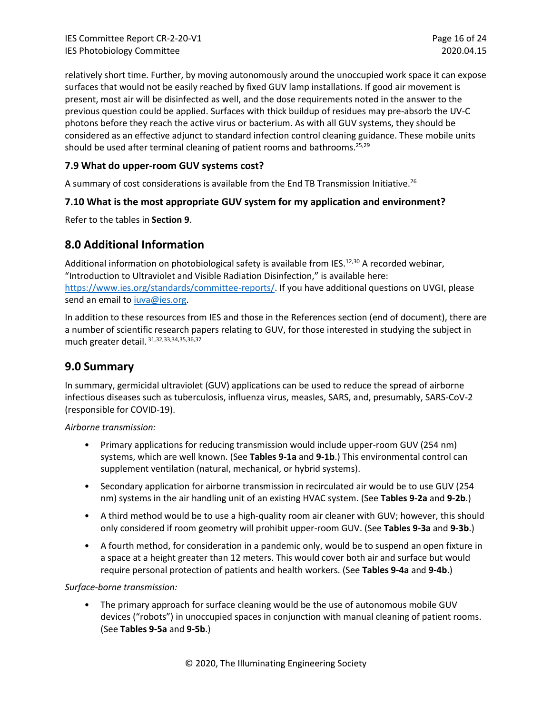relatively short time. Further, by moving autonomously around the unoccupied work space it can expose surfaces that would not be easily reached by fixed GUV lamp installations. If good air movement is present, most air will be disinfected as well, and the dose requirements noted in the answer to the previous question could be applied. Surfaces with thick buildup of residues may pre-absorb the UV-C photons before they reach the active virus or bacterium. As with all GUV systems, they should be considered as an effective adjunct to standard infection control cleaning guidance. These mobile units should be used after terminal cleaning of patient rooms and bathrooms.<sup>25,29</sup>

### <span id="page-15-0"></span>**7.9 What do upper-room GUV systems cost?**

A summary of cost considerations is available from the End TB Transmission Initiative.<sup>26</sup>

### <span id="page-15-1"></span>**7.10 What is the most appropriate GUV system for my application and environment?**

Refer to the tables in **Section 9**.

# <span id="page-15-2"></span>**8.0 Additional Information**

Additional information on photobiological safety is available from IES.<sup>12,30</sup> A recorded webinar, "Introduction to Ultraviolet and Visible Radiation Disinfection," is available here: [https://www.ies.org/standards/committee-reports/.](https://www.ies.org/standards/committee-reports/) If you have additional questions on UVGI, please send an email to [iuva@ies.org.](mailto:iuva@ies.org)

In addition to these resources from IES and those in the References section (end of document), there are a number of scientific research papers relating to GUV, for those interested in studying the subject in much greater detail. 31,32,33,34,35,36,37

# <span id="page-15-3"></span>**9.0 Summary**

In summary, germicidal ultraviolet (GUV) applications can be used to reduce the spread of airborne infectious diseases such as tuberculosis, influenza virus, measles, SARS, and, presumably, SARS-CoV-2 (responsible for COVID-19).

*Airborne transmission:*

- Primary applications for reducing transmission would include upper-room GUV (254 nm) systems, which are well known. (See **Tables 9-1a** and **9-1b**.) This environmental control can supplement ventilation (natural, mechanical, or hybrid systems).
- Secondary application for airborne transmission in recirculated air would be to use GUV (254 nm) systems in the air handling unit of an existing HVAC system. (See **Tables 9-2a** and **9-2b**.)
- A third method would be to use a high-quality room air cleaner with GUV; however, this should only considered if room geometry will prohibit upper-room GUV. (See **Tables 9-3a** and **9-3b**.)
- A fourth method, for consideration in a pandemic only, would be to suspend an open fixture in a space at a height greater than 12 meters. This would cover both air and surface but would require personal protection of patients and health workers. (See **Tables 9-4a** and **9-4b**.)

*Surface-borne transmission:*

• The primary approach for surface cleaning would be the use of autonomous mobile GUV devices ("robots") in unoccupied spaces in conjunction with manual cleaning of patient rooms. (See **Tables 9-5a** and **9-5b**.)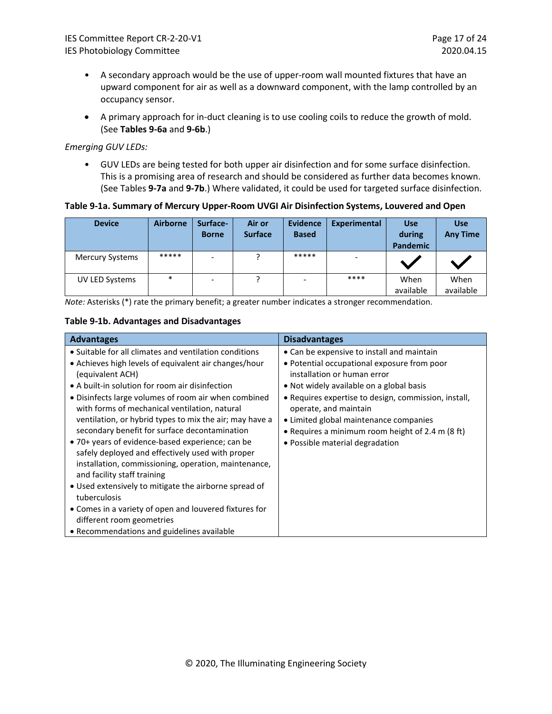- A secondary approach would be the use of upper-room wall mounted fixtures that have an upward component for air as well as a downward component, with the lamp controlled by an occupancy sensor.
- A primary approach for in-duct cleaning is to use cooling coils to reduce the growth of mold. (See **Tables 9-6a** and **9-6b**.)

#### *Emerging GUV LEDs:*

• GUV LEDs are being tested for both upper air disinfection and for some surface disinfection. This is a promising area of research and should be considered as further data becomes known. (See Tables **9-7a** and **9-7b**.) Where validated, it could be used for targeted surface disinfection.

### **Table 9-1a. Summary of Mercury Upper-Room UVGI Air Disinfection Systems, Louvered and Open**

| <b>Device</b>          | <b>Airborne</b> | Surface-<br><b>Borne</b> | Air or<br><b>Surface</b> | <b>Evidence</b><br><b>Based</b> | <b>Experimental</b> | <b>Use</b><br>during<br><b>Pandemic</b> | <b>Use</b><br><b>Any Time</b> |
|------------------------|-----------------|--------------------------|--------------------------|---------------------------------|---------------------|-----------------------------------------|-------------------------------|
| <b>Mercury Systems</b> | *****           | $\overline{\phantom{0}}$ |                          | *****                           |                     |                                         |                               |
| UV LED Systems         | $\ast$          | $\overline{\phantom{0}}$ |                          | $\overline{\phantom{0}}$        | ****                | When<br>available                       | When<br>available             |

*Note:* Asterisks (\*) rate the primary benefit; a greater number indicates a stronger recommendation.

### **Table 9-1b. Advantages and Disadvantages**

| <b>Advantages</b>                                                                                                                                                                                                                                                                                       | <b>Disadvantages</b>                                                                                                                                                                                    |
|---------------------------------------------------------------------------------------------------------------------------------------------------------------------------------------------------------------------------------------------------------------------------------------------------------|---------------------------------------------------------------------------------------------------------------------------------------------------------------------------------------------------------|
| • Suitable for all climates and ventilation conditions                                                                                                                                                                                                                                                  | • Can be expensive to install and maintain                                                                                                                                                              |
| • Achieves high levels of equivalent air changes/hour<br>(equivalent ACH)<br>• A built-in solution for room air disinfection<br>• Disinfects large volumes of room air when combined<br>with forms of mechanical ventilation, natural                                                                   | • Potential occupational exposure from poor<br>installation or human error<br>• Not widely available on a global basis<br>• Requires expertise to design, commission, install,<br>operate, and maintain |
| ventilation, or hybrid types to mix the air; may have a<br>secondary benefit for surface decontamination<br>• 70+ years of evidence-based experience; can be<br>safely deployed and effectively used with proper<br>installation, commissioning, operation, maintenance,<br>and facility staff training | • Limited global maintenance companies<br>• Requires a minimum room height of 2.4 m (8 ft)<br>• Possible material degradation                                                                           |
| • Used extensively to mitigate the airborne spread of<br>tuberculosis                                                                                                                                                                                                                                   |                                                                                                                                                                                                         |
| • Comes in a variety of open and louvered fixtures for<br>different room geometries                                                                                                                                                                                                                     |                                                                                                                                                                                                         |
| • Recommendations and guidelines available                                                                                                                                                                                                                                                              |                                                                                                                                                                                                         |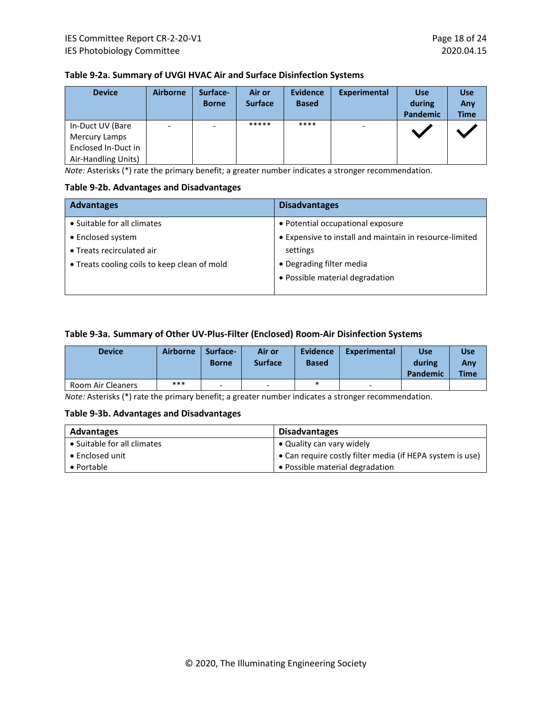| Table 9-2a. Summary of UVGI HVAC Air and Surface Disinfection Systems |  |
|-----------------------------------------------------------------------|--|
|-----------------------------------------------------------------------|--|

| <b>Device</b>        | <b>Airborne</b>          | Surface-<br><b>Borne</b> | Air or<br><b>Surface</b> | <b>Evidence</b><br><b>Based</b> | <b>Experimental</b> | <b>Use</b><br>during<br><b>Pandemic</b> | <b>Use</b><br>Any<br><b>Time</b> |
|----------------------|--------------------------|--------------------------|--------------------------|---------------------------------|---------------------|-----------------------------------------|----------------------------------|
| In-Duct UV (Bare     | $\overline{\phantom{a}}$ | $\overline{\phantom{a}}$ | *****                    | ****                            |                     |                                         |                                  |
| <b>Mercury Lamps</b> |                          |                          |                          |                                 |                     |                                         |                                  |
| Enclosed In-Duct in  |                          |                          |                          |                                 |                     |                                         |                                  |
| Air-Handling Units)  |                          |                          |                          |                                 |                     |                                         |                                  |

*Note:* Asterisks (\*) rate the primary benefit; a greater number indicates a stronger recommendation.

#### **Table 9-2b. Advantages and Disadvantages**

| <b>Advantages</b>                            | <b>Disadvantages</b>                                    |
|----------------------------------------------|---------------------------------------------------------|
| • Suitable for all climates                  | • Potential occupational exposure                       |
| • Enclosed system                            | • Expensive to install and maintain in resource-limited |
| • Treats recirculated air                    | settings                                                |
| • Treats cooling coils to keep clean of mold | • Degrading filter media                                |
|                                              | • Possible material degradation                         |
|                                              |                                                         |

### **Table 9-3a. Summary of Other UV-Plus-Filter (Enclosed) Room-Air Disinfection Systems**

| <b>Device</b>     | <b>Airborne</b> | Surface-<br><b>Borne</b> | Air or<br><b>Surface</b> | <b>Evidence</b><br><b>Based</b> | <b>Experimental</b> | <b>Use</b><br>during<br>Pandemic | Use<br>Any<br><b>Time</b> |
|-------------------|-----------------|--------------------------|--------------------------|---------------------------------|---------------------|----------------------------------|---------------------------|
| Room Air Cleaners | ***             | $\overline{\phantom{0}}$ | -                        | $\ast$                          | -                   |                                  |                           |

*Note:* Asterisks (\*) rate the primary benefit; a greater number indicates a stronger recommendation.

### **Table 9-3b. Advantages and Disadvantages**

| Advantages                  | <b>Disadvantages</b>                                      |
|-----------------------------|-----------------------------------------------------------|
| • Suitable for all climates | • Quality can vary widely                                 |
| • Enclosed unit             | • Can require costly filter media (if HEPA system is use) |
| $\bullet$ Portable          | • Possible material degradation                           |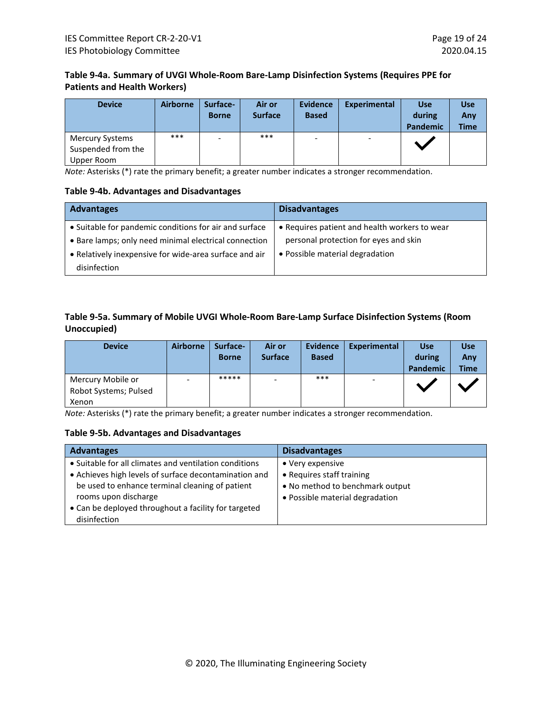## **Table 9-4a. Summary of UVGI Whole-Room Bare-Lamp Disinfection Systems (Requires PPE for Patients and Health Workers)**

| <b>Device</b>                                              | <b>Airborne</b> | Surface-<br><b>Borne</b> | Air or<br><b>Surface</b> | <b>Evidence</b><br><b>Based</b> | Experimental | <b>Use</b><br>during<br><b>Pandemic</b> | <b>Use</b><br>Any<br><b>Time</b> |
|------------------------------------------------------------|-----------------|--------------------------|--------------------------|---------------------------------|--------------|-----------------------------------------|----------------------------------|
| <b>Mercury Systems</b><br>Suspended from the<br>Upper Room | ***             | ۰.                       | ***                      | $\overline{\phantom{a}}$        |              |                                         |                                  |

*Note:* Asterisks (\*) rate the primary benefit; a greater number indicates a stronger recommendation.

### **Table 9-4b. Advantages and Disadvantages**

| <b>Advantages</b>                                      | <b>Disadvantages</b>                          |
|--------------------------------------------------------|-----------------------------------------------|
| • Suitable for pandemic conditions for air and surface | • Requires patient and health workers to wear |
| • Bare lamps; only need minimal electrical connection  | personal protection for eyes and skin         |
| • Relatively inexpensive for wide-area surface and air | • Possible material degradation               |
| disinfection                                           |                                               |

### **Table 9-5a. Summary of Mobile UVGI Whole-Room Bare-Lamp Surface Disinfection Systems (Room Unoccupied)**

| <b>Device</b>                                       | <b>Airborne</b> | Surface-<br><b>Borne</b> | Air or<br><b>Surface</b> | <b>Evidence</b><br><b>Based</b> | Experimental             | <b>Use</b><br>during<br>Pandemic | <b>Use</b><br>Any<br><b>Time</b> |
|-----------------------------------------------------|-----------------|--------------------------|--------------------------|---------------------------------|--------------------------|----------------------------------|----------------------------------|
| Mercury Mobile or<br>Robot Systems; Pulsed<br>Xenon |                 | *****                    | $\overline{\phantom{0}}$ | ***                             | $\overline{\phantom{a}}$ |                                  |                                  |

*Note:* Asterisks (\*) rate the primary benefit; a greater number indicates a stronger recommendation.

### **Table 9-5b. Advantages and Disadvantages**

| <b>Advantages</b>                                      | <b>Disadvantages</b>            |
|--------------------------------------------------------|---------------------------------|
| • Suitable for all climates and ventilation conditions | • Very expensive                |
| • Achieves high levels of surface decontamination and  | • Requires staff training       |
| be used to enhance terminal cleaning of patient        | • No method to benchmark output |
| rooms upon discharge                                   | • Possible material degradation |
| • Can be deployed throughout a facility for targeted   |                                 |
| disinfection                                           |                                 |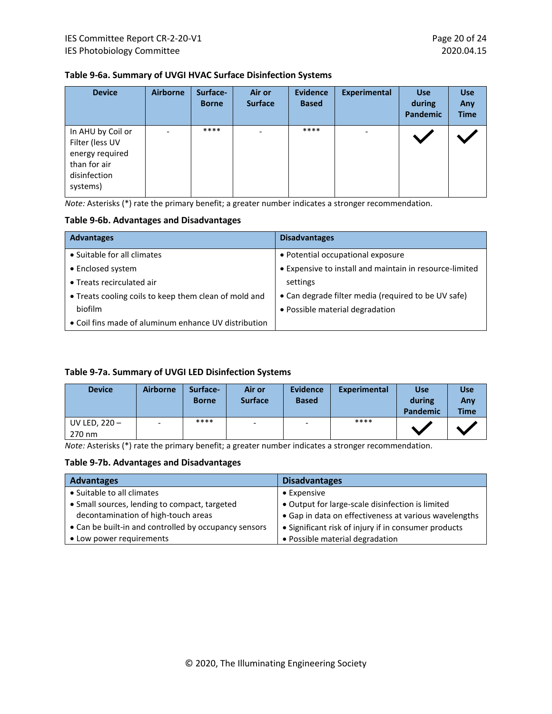### **Table 9-6a. Summary of UVGI HVAC Surface Disinfection Systems**

| <b>Device</b>                                                                                       | <b>Airborne</b>          | Surface-<br><b>Borne</b> | Air or<br><b>Surface</b> | <b>Evidence</b><br><b>Based</b> | <b>Experimental</b> | <b>Use</b><br>during<br><b>Pandemic</b> | <b>Use</b><br>Any<br><b>Time</b> |
|-----------------------------------------------------------------------------------------------------|--------------------------|--------------------------|--------------------------|---------------------------------|---------------------|-----------------------------------------|----------------------------------|
| In AHU by Coil or<br>Filter (less UV<br>energy required<br>than for air<br>disinfection<br>systems) | $\overline{\phantom{a}}$ | ****                     | $\overline{\phantom{a}}$ | ****                            |                     |                                         |                                  |

*Note:* Asterisks (\*) rate the primary benefit; a greater number indicates a stronger recommendation.

### **Table 9-6b. Advantages and Disadvantages**

| <b>Advantages</b>                                     | <b>Disadvantages</b>                                    |
|-------------------------------------------------------|---------------------------------------------------------|
| • Suitable for all climates                           | • Potential occupational exposure                       |
| • Enclosed system                                     | • Expensive to install and maintain in resource-limited |
| • Treats recirculated air                             | settings                                                |
| • Treats cooling coils to keep them clean of mold and | • Can degrade filter media (required to be UV safe)     |
| biofilm                                               | • Possible material degradation                         |
| • Coil fins made of aluminum enhance UV distribution  |                                                         |

### **Table 9-7a. Summary of UVGI LED Disinfection Systems**

| <b>Device</b>             | <b>Airborne</b>          | Surface-<br><b>Borne</b> | Air or<br><b>Surface</b> | <b>Evidence</b><br><b>Based</b> | Experimental | <b>Use</b><br>during<br>Pandemic | <b>Use</b><br>Any<br><b>Time</b> |
|---------------------------|--------------------------|--------------------------|--------------------------|---------------------------------|--------------|----------------------------------|----------------------------------|
| UV LED, $220 -$<br>270 nm | $\overline{\phantom{0}}$ | ****                     | $\overline{\phantom{a}}$ | $\overline{\phantom{a}}$        | ****         |                                  |                                  |

*Note:* Asterisks (\*) rate the primary benefit; a greater number indicates a stronger recommendation.

### **Table 9-7b. Advantages and Disadvantages**

| <b>Advantages</b>                                     | <b>Disadvantages</b>                                  |
|-------------------------------------------------------|-------------------------------------------------------|
| • Suitable to all climates                            | $\bullet$ Expensive                                   |
| • Small sources, lending to compact, targeted         | • Output for large-scale disinfection is limited      |
| decontamination of high-touch areas                   | • Gap in data on effectiveness at various wavelengths |
| • Can be built-in and controlled by occupancy sensors | • Significant risk of injury if in consumer products  |
| • Low power requirements                              | • Possible material degradation                       |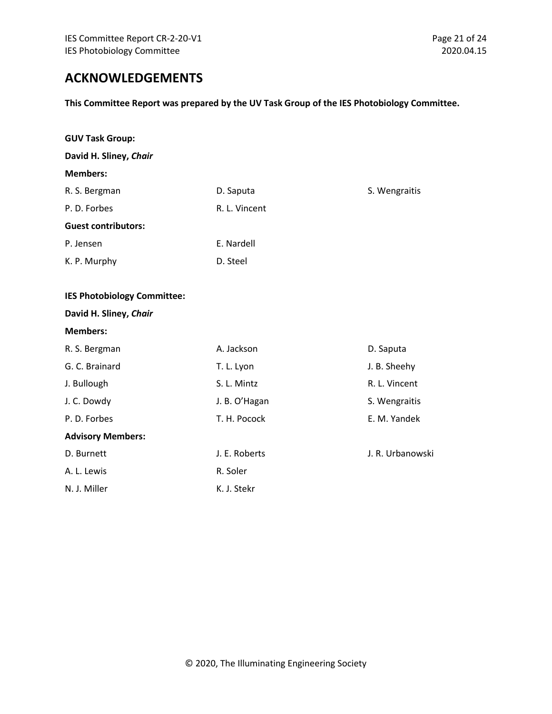# <span id="page-20-0"></span>**ACKNOWLEDGEMENTS**

**This Committee Report was prepared by the UV Task Group of the IES Photobiology Committee.**

| <b>GUV Task Group:</b>             |               |                  |
|------------------------------------|---------------|------------------|
| David H. Sliney, Chair             |               |                  |
| <b>Members:</b>                    |               |                  |
| R. S. Bergman                      | D. Saputa     | S. Wengraitis    |
| P.D. Forbes                        | R. L. Vincent |                  |
| <b>Guest contributors:</b>         |               |                  |
| P. Jensen                          | E. Nardell    |                  |
| K. P. Murphy                       | D. Steel      |                  |
| <b>IES Photobiology Committee:</b> |               |                  |
| David H. Sliney, Chair             |               |                  |
| <b>Members:</b>                    |               |                  |
| R. S. Bergman                      | A. Jackson    | D. Saputa        |
| G. C. Brainard                     | T. L. Lyon    | J. B. Sheehy     |
| J. Bullough                        | S. L. Mintz   | R. L. Vincent    |
| J. C. Dowdy                        | J. B. O'Hagan | S. Wengraitis    |
| P.D. Forbes                        | T. H. Pocock  | E. M. Yandek     |
| <b>Advisory Members:</b>           |               |                  |
| D. Burnett                         | J. E. Roberts | J. R. Urbanowski |
| A. L. Lewis                        | R. Soler      |                  |
| N. J. Miller                       | K. J. Stekr   |                  |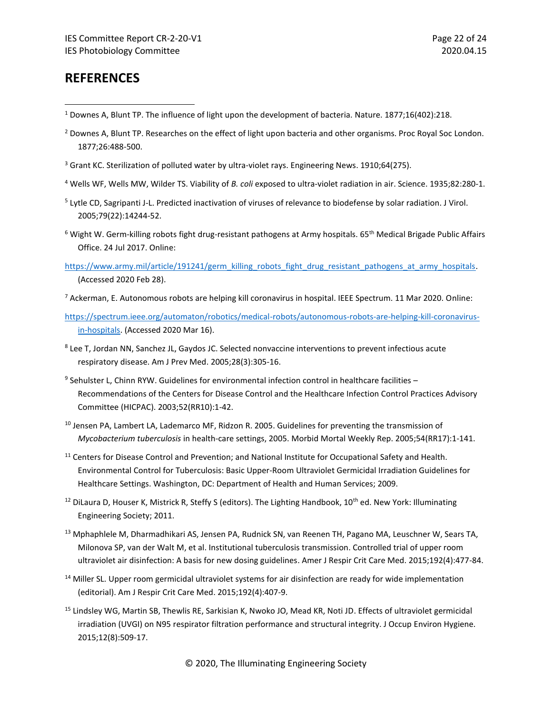# <span id="page-21-0"></span>**REFERENCES**

- <sup>1</sup> Downes A, Blunt TP. The influence of light upon the development of bacteria. Nature. 1877;16(402):218.
- <sup>2</sup> Downes A, Blunt TP. Researches on the effect of light upon bacteria and other organisms. Proc Royal Soc London. 1877;26:488-500.
- <sup>3</sup> Grant KC. Sterilization of polluted water by ultra-violet rays. Engineering News. 1910;64(275).
- <sup>4</sup> Wells WF, Wells MW, Wilder TS. Viability of *B. coli* exposed to ultra-violet radiation in air. Science. 1935;82:280-1.
- <sup>5</sup> Lytle CD, Sagripanti J-L. Predicted inactivation of viruses of relevance to biodefense by solar radiation. J Virol. 2005;79(22):14244-52.
- $6$  Wight W. Germ-killing robots fight drug-resistant pathogens at Army hospitals. 65<sup>th</sup> Medical Brigade Public Affairs Office. 24 Jul 2017. Online:
- [https://www.army.mil/article/191241/germ\\_killing\\_robots\\_fight\\_drug\\_resistant\\_pathogens\\_at\\_army\\_hospitals.](https://www.army.mil/article/191241/germ_killing_robots_fight_drug_resistant_pathogens_at_army_hospitals) (Accessed 2020 Feb 28).
- $^7$  Ackerman, E. Autonomous robots are helping kill coronavirus in hospital. IEEE Spectrum. 11 Mar 2020. Online:
- [https://spectrum.ieee.org/automaton/robotics/medical-robots/autonomous-robots-are-helping-kill-coronavirus](https://spectrum.ieee.org/automaton/robotics/medical-robots/autonomous-robots-are-helping-kill-coronavirus-in-hospitals)[in-hospitals.](https://spectrum.ieee.org/automaton/robotics/medical-robots/autonomous-robots-are-helping-kill-coronavirus-in-hospitals) (Accessed 2020 Mar 16).
- <sup>8</sup> Lee T, Jordan NN, Sanchez JL, Gaydos JC. Selected nonvaccine interventions to prevent infectious acute respiratory disease. Am J Prev Med. 2005;28(3):305-16.
- <sup>9</sup> Sehulster L, Chinn RYW. Guidelines for environmental infection control in healthcare facilities -Recommendations of the Centers for Disease Control and the Healthcare Infection Control Practices Advisory Committee (HICPAC). 2003;52(RR10):1-42.
- <sup>10</sup> Jensen PA, Lambert LA, Lademarco MF, Ridzon R. 2005. Guidelines for preventing the transmission of *Mycobacterium tuberculosis* in health-care settings, 2005. Morbid Mortal Weekly Rep. 2005;54(RR17):1-141.
- <sup>11</sup> Centers for Disease Control and Prevention; and National Institute for Occupational Safety and Health. Environmental Control for Tuberculosis: Basic Upper-Room Ultraviolet Germicidal Irradiation Guidelines for Healthcare Settings. Washington, DC: Department of Health and Human Services; 2009.
- <sup>12</sup> DiLaura D, Houser K, Mistrick R, Steffy S (editors). The Lighting Handbook,  $10^{th}$  ed. New York: Illuminating Engineering Society; 2011.
- <sup>13</sup> Mphaphlele M, Dharmadhikari AS, Jensen PA, Rudnick SN, van Reenen TH, Pagano MA, Leuschner W, Sears TA, Milonova SP, van der Walt M, et al. Institutional tuberculosis transmission. Controlled trial of upper room ultraviolet air disinfection: A basis for new dosing guidelines. Amer J Respir Crit Care Med. 2015;192(4):477-84.
- <sup>14</sup> Miller SL. Upper room germicidal ultraviolet systems for air disinfection are ready for wide implementation (editorial). Am J Respir Crit Care Med. 2015;192(4):407-9.
- <sup>15</sup> Lindsley WG, Martin SB, Thewlis RE, Sarkisian K, Nwoko JO, Mead KR, Noti JD. Effects of ultraviolet germicidal irradiation (UVGI) on N95 respirator filtration performance and structural integrity. J Occup Environ Hygiene. 2015;12(8):509-17.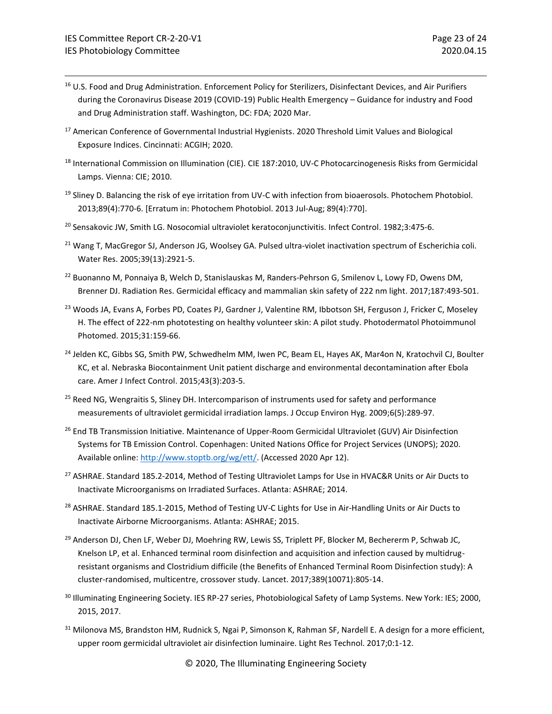- <sup>16</sup> U.S. Food and Drug Administration. Enforcement Policy for Sterilizers, Disinfectant Devices, and Air Purifiers during the Coronavirus Disease 2019 (COVID-19) Public Health Emergency – Guidance for industry and Food and Drug Administration staff. Washington, DC: FDA; 2020 Mar.
- <sup>17</sup> American Conference of Governmental Industrial Hygienists. 2020 Threshold Limit Values and Biological Exposure Indices. Cincinnati: ACGIH; 2020.
- <sup>18</sup> International Commission on Illumination (CIE). CIE 187:2010, UV-C Photocarcinogenesis Risks from Germicidal Lamps. Vienna: CIE; 2010.
- $19$  Sliney D. Balancing the risk of eye irritation from UV-C with infection from bioaerosols. Photochem Photobiol. 2013;89(4):770-6. [Erratum in: Photochem Photobiol. 2013 Jul-Aug; 89(4):770].
- <sup>20</sup> Sensakovic JW, Smith LG. Nosocomial ultraviolet keratoconjunctivitis. Infect Control. 1982;3:475-6.
- <sup>21</sup> Wang T, MacGregor SJ, Anderson JG, Woolsey GA. Pulsed ultra-violet inactivation spectrum of Escherichia coli. Water Res. 2005;39(13):2921-5.
- <sup>22</sup> Buonanno M, Ponnaiya B, Welch D, Stanislauskas M, Randers-Pehrson G, Smilenov L, Lowy FD, Owens DM, Brenner DJ. Radiation Res. Germicidal efficacy and mammalian skin safety of 222 nm light. 2017;187:493-501.
- <sup>23</sup> Woods JA, Evans A, Forbes PD, Coates PJ, Gardner J, Valentine RM, Ibbotson SH, Ferguson J, Fricker C, Moseley H. The effect of 222-nm phototesting on healthy volunteer skin: A pilot study. Photodermatol Photoimmunol Photomed. 2015;31:159-66.
- <sup>24</sup> Jelden KC, Gibbs SG, Smith PW, Schwedhelm MM, Iwen PC, Beam EL, Hayes AK, Mar4on N, Kratochvil CJ, Boulter KC, et al. Nebraska Biocontainment Unit patient discharge and environmental decontamination after Ebola care. Amer J Infect Control. 2015;43(3):203-5.
- <sup>25</sup> Reed NG, Wengraitis S, Sliney DH. Intercomparison of instruments used for safety and performance measurements of ultraviolet germicidal irradiation lamps. J Occup Environ Hyg. 2009;6(5):289-97.
- <sup>26</sup> End TB Transmission Initiative. Maintenance of Upper-Room Germicidal Ultraviolet (GUV) Air Disinfection Systems for TB Emission Control. Copenhagen: United Nations Office for Project Services (UNOPS); 2020. Available online: [http://www.stoptb.org/wg/ett/.](http://www.stoptb.org/wg/ett/) (Accessed 2020 Apr 12).
- <sup>27</sup> ASHRAE. Standard 185.2-2014, Method of Testing Ultraviolet Lamps for Use in HVAC&R Units or Air Ducts to Inactivate Microorganisms on Irradiated Surfaces. Atlanta: ASHRAE; 2014.
- <sup>28</sup> ASHRAE. Standard 185.1-2015, Method of Testing UV-C Lights for Use in Air-Handling Units or Air Ducts to Inactivate Airborne Microorganisms. Atlanta: ASHRAE; 2015.
- <sup>29</sup> Anderson DJ, Chen LF, Weber DJ, Moehring RW, Lewis SS, Triplett PF, Blocker M, Bechererm P, Schwab JC, Knelson LP, et al. Enhanced terminal room disinfection and acquisition and infection caused by multidrugresistant organisms and Clostridium difficile (the Benefits of Enhanced Terminal Room Disinfection study): A cluster-randomised, multicentre, crossover study. Lancet. 2017;389(10071):805-14.
- <sup>30</sup> Illuminating Engineering Society. IES RP-27 series, Photobiological Safety of Lamp Systems. New York: IES; 2000, 2015, 2017.
- 31 Milonova MS, Brandston HM, Rudnick S, Ngai P, Simonson K, Rahman SF, Nardell E. A design for a more efficient, upper room germicidal ultraviolet air disinfection luminaire. Light Res Technol. 2017;0:1-12.

© 2020, The Illuminating Engineering Society